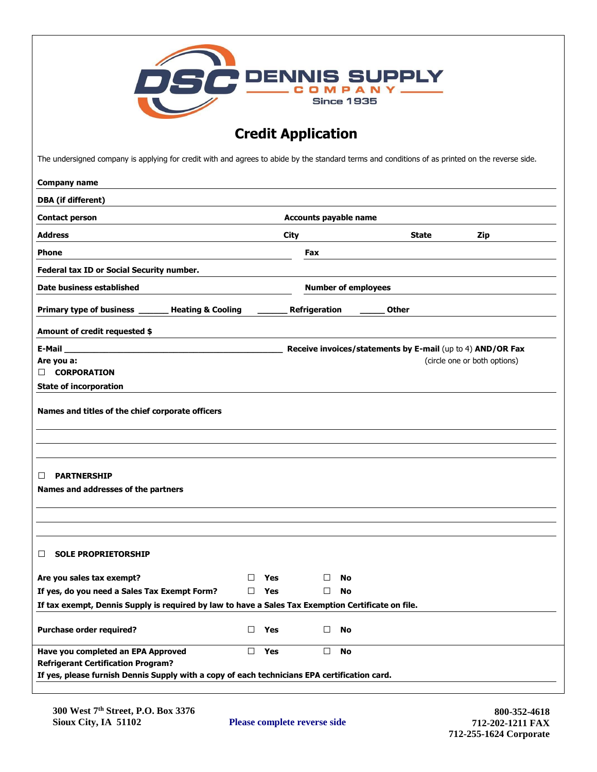| <b>OSC</b> DENNIS SUPPLY<br><b>Since 1935</b><br><b>Credit Application</b><br>The undersigned company is applying for credit with and agrees to abide by the standard terms and conditions of as printed on the reverse side. |                                    |                              |                                                            |                              |  |
|-------------------------------------------------------------------------------------------------------------------------------------------------------------------------------------------------------------------------------|------------------------------------|------------------------------|------------------------------------------------------------|------------------------------|--|
|                                                                                                                                                                                                                               |                                    |                              |                                                            |                              |  |
| <b>DBA</b> (if different)                                                                                                                                                                                                     |                                    |                              |                                                            |                              |  |
| <b>Contact person</b>                                                                                                                                                                                                         |                                    | <b>Accounts payable name</b> |                                                            |                              |  |
| <b>Address</b>                                                                                                                                                                                                                | City<br><b>State</b><br><b>Zip</b> |                              |                                                            |                              |  |
| <b>Phone</b>                                                                                                                                                                                                                  |                                    | Fax                          |                                                            |                              |  |
|                                                                                                                                                                                                                               |                                    |                              |                                                            |                              |  |
| Federal tax ID or Social Security number.                                                                                                                                                                                     |                                    |                              |                                                            |                              |  |
| Date business established                                                                                                                                                                                                     |                                    | <b>Number of employees</b>   |                                                            |                              |  |
| Primary type of business _<br><b>Heating &amp; Cooling</b>                                                                                                                                                                    |                                    | Refrigeration                | <b>Other</b>                                               |                              |  |
| Amount of credit requested \$                                                                                                                                                                                                 |                                    |                              |                                                            |                              |  |
| $E-Mail$                                                                                                                                                                                                                      |                                    |                              | Receive invoices/statements by E-mail (up to 4) AND/OR Fax |                              |  |
| Are you a:                                                                                                                                                                                                                    |                                    |                              |                                                            | (circle one or both options) |  |
| $\Box$ CORPORATION<br><b>State of incorporation</b>                                                                                                                                                                           |                                    |                              |                                                            |                              |  |
| Names and titles of the chief corporate officers                                                                                                                                                                              |                                    |                              |                                                            |                              |  |
| <b>PARTNERSHIP</b><br>⊔<br>Names and addresses of the partners                                                                                                                                                                |                                    |                              |                                                            |                              |  |
| <b>SOLE PROPRIETORSHIP</b><br>ப                                                                                                                                                                                               |                                    |                              |                                                            |                              |  |
| Are you sales tax exempt?                                                                                                                                                                                                     | Yes<br>$\Box$                      | No<br>$\perp$                |                                                            |                              |  |
| If yes, do you need a Sales Tax Exempt Form?                                                                                                                                                                                  | Yes<br>$\Box$                      | No<br>$\perp$                |                                                            |                              |  |
| If tax exempt, Dennis Supply is required by law to have a Sales Tax Exemption Certificate on file.                                                                                                                            |                                    |                              |                                                            |                              |  |
| Purchase order required?                                                                                                                                                                                                      | $\Box$<br>Yes                      | □<br><b>No</b>               |                                                            |                              |  |
| Have you completed an EPA Approved                                                                                                                                                                                            | $\Box$ Yes                         | $\Box$<br><b>No</b>          |                                                            |                              |  |
| <b>Refrigerant Certification Program?</b>                                                                                                                                                                                     |                                    |                              |                                                            |                              |  |
| If yes, please furnish Dennis Supply with a copy of each technicians EPA certification card.                                                                                                                                  |                                    |                              |                                                            |                              |  |